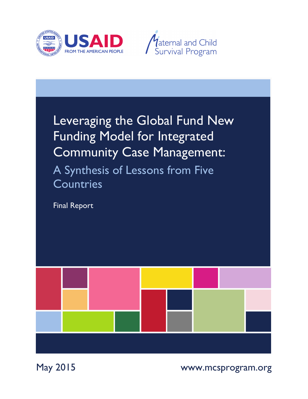





May 2015 www.mcsprogram.org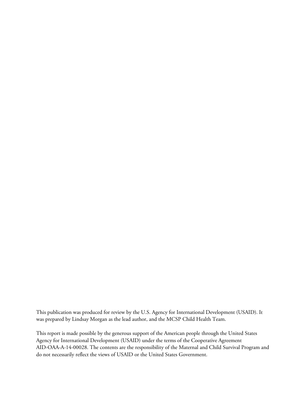This publication was produced for review by the U.S. Agency for International Development (USAID). It was prepared by Lindsay Morgan as the lead author, and the MCSP Child Health Team.

This report is made possible by the generous support of the American people through the United States Agency for International Development (USAID) under the terms of the Cooperative Agreement AID-OAA-A-14-00028. The contents are the responsibility of the Maternal and Child Survival Program and do not necessarily reflect the views of USAID or the United States Government.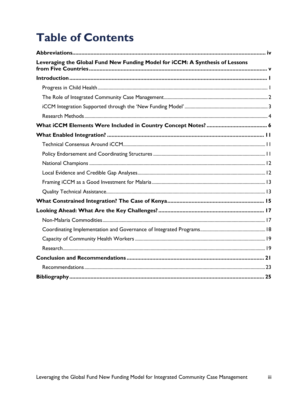# **Table of Contents**

| Leveraging the Global Fund New Funding Model for iCCM: A Synthesis of Lessons |  |
|-------------------------------------------------------------------------------|--|
|                                                                               |  |
|                                                                               |  |
|                                                                               |  |
|                                                                               |  |
|                                                                               |  |
|                                                                               |  |
|                                                                               |  |
|                                                                               |  |
|                                                                               |  |
|                                                                               |  |
|                                                                               |  |
|                                                                               |  |
|                                                                               |  |
|                                                                               |  |
|                                                                               |  |
|                                                                               |  |
|                                                                               |  |
|                                                                               |  |
|                                                                               |  |
|                                                                               |  |
|                                                                               |  |
|                                                                               |  |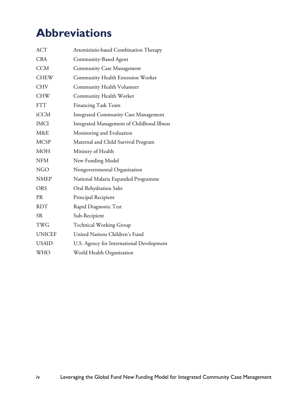# <span id="page-3-0"></span>**Abbreviations**

| <b>ACT</b>    | Artemisinin-based Combination Therapy       |
|---------------|---------------------------------------------|
| <b>CBA</b>    | Community-Based Agent                       |
| <b>CCM</b>    | <b>Community Case Management</b>            |
| <b>CHEW</b>   | Community Health Extension Worker           |
| <b>CHV</b>    | Community Health Volunteer                  |
| <b>CHW</b>    | Community Health Worker                     |
| <b>FTT</b>    | Financing Task Team                         |
| iCCM          | <b>Integrated Community Case Management</b> |
| <b>IMCI</b>   | Integrated Management of Childhood Illness  |
| M&E           | Monitoring and Evaluation                   |
| <b>MCSP</b>   | Maternal and Child Survival Program         |
| <b>MOH</b>    | Ministry of Health                          |
| <b>NFM</b>    | New Funding Model                           |
| <b>NGO</b>    | Nongovernmental Organization                |
| <b>NMEP</b>   | National Malaria Expanded Programme         |
| <b>ORS</b>    | Oral Rehydration Salts                      |
| <b>PR</b>     | Principal Recipient                         |
| <b>RDT</b>    | Rapid Diagnostic Test                       |
| <b>SR</b>     | Sub-Recipient                               |
| <b>TWG</b>    | <b>Technical Working Group</b>              |
| <b>UNICEF</b> | United Nations Children's Fund              |
| <b>USAID</b>  | U.S. Agency for International Development   |
| <b>WHO</b>    | World Health Organization                   |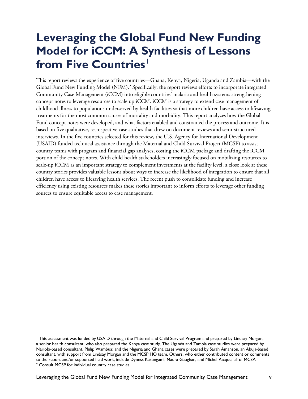# <span id="page-4-0"></span>**Leveraging the Global Fund New Funding Model for iCCM: A Synthesis of Lessons from Five Countries**

This report reviews the experience of five countries—Ghana, Kenya, Nigeria, Uganda and Zambia—with the Global Fund New Funding Model (NFM).[2](#page-4-2) Specifically, the report reviews efforts to incorporate integrated Community Case Management (iCCM) into eligible countries' malaria and health systems strengthening concept notes to leverage resources to scale up iCCM. iCCM is a strategy to extend case management of childhood illness to populations underserved by health facilities so that more children have access to lifesaving treatments for the most common causes of mortality and morbidity. This report analyzes how the Global Fund concept notes were developed, and what factors enabled and constrained the process and outcome. It is based on five qualitative, retrospective case studies that drew on document reviews and semi-structured interviews. In the five countries selected for this review, the U.S. Agency for International Development (USAID) funded technical assistance through the Maternal and Child Survival Project (MCSP) to assist country teams with program and financial gap analyses, costing the iCCM package and drafting the iCCM portion of the concept notes. With child health stakeholders increasingly focused on mobilizing resources to scale-up iCCM as an important strategy to complement investments at the facility level, a close look at these country stories provides valuable lessons about ways to increase the likelihood of integration to ensure that all children have access to lifesaving health services. The recent push to consolidate funding and increase efficiency using existing resources makes these stories important to inform efforts to leverage other funding sources to ensure equitable access to case management.

<span id="page-4-2"></span><span id="page-4-1"></span> $\overline{a}$ <sup>1</sup> This assessment was funded by USAID through the Maternal and Child Survival Program and prepared by Lindsay Morgan, a senior health consultant, who also prepared the Kenya case study. The Uganda and Zambia case studies were prepared by Nairobi-based consultant, Philip Wambua; and the Nigeria and Ghana cases were prepared by Sarah Amahson, an Abuja-based consultant, with support from Lindsay Morgan and the MCSP HQ team. Others, who either contributed content or comments to the report and/or supported field work, include Dyness Kasungami, Maura Gaughan, and Michel Pacque, all of MCSP. <sup>2</sup> Consult MCSP for individual country case studies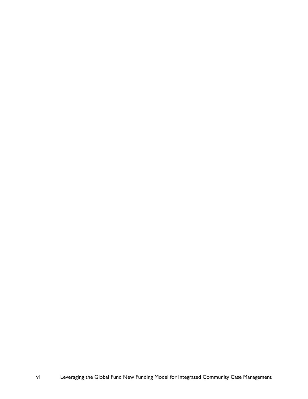vi Leveraging the Global Fund New Funding Model for Integrated Community Case Management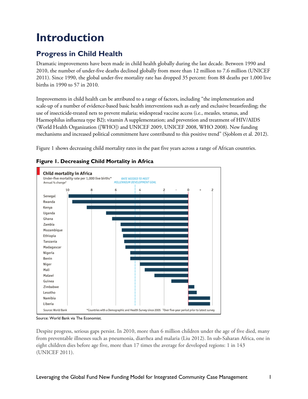# <span id="page-6-0"></span>**Introduction**

## <span id="page-6-1"></span>**Progress in Child Health**

Dramatic improvements have been made in child health globally during the last decade. Between 1990 and 2010, the number of under-five deaths declined globally from more than 12 million to 7.6 million (UNICEF 2011). Since 1990, the global under-five mortality rate has dropped 35 percent: from 88 deaths per 1,000 live births in 1990 to 57 in 2010.

Improvements in child health can be attributed to a range of factors, including "the implementation and scale-up of a number of evidence-based basic health interventions such as early and exclusive breastfeeding; the use of insecticide-treated nets to prevent malaria; widespread vaccine access (i.e., measles, tetanus, and Haemophilus influenza type B2); vitamin A supplementation; and prevention and treatment of HIV/AIDS (World Health Organization ([WHO]) and UNICEF 2009, UNICEF 2008, WHO 2008). New funding mechanisms and increased political commitment have contributed to this positive trend" (Sjoblom et al. 2012).

Figure 1 shows decreasing child mortality rates in the past five years across a range of African countries.



#### **Figure 1. Decreasing Child Mortality in Africa**

Source: World Bank via The Economist.

Despite progress, serious gaps persist. In 2010, more than 6 million children under the age of five died, many from preventable illnesses such as pneumonia, diarrhea and malaria (Liu 2012). In sub-Saharan Africa, one in eight children dies before age five, more than 17 times the average for developed regions: 1 in 143 (UNICEF 2011).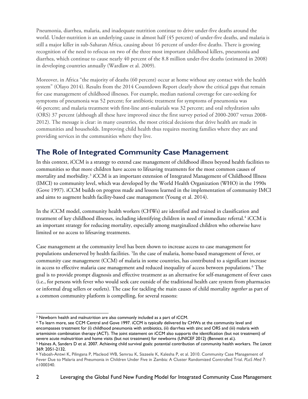Pneumonia, diarrhea, malaria, and inadequate nutrition continue to drive under-five deaths around the world. Under-nutrition is an underlying cause in almost half (45 percent) of under-five deaths, and malaria is still a major killer in sub-Saharan Africa, causing about 16 percent of under-five deaths. There is growing recognition of the need to refocus on two of the three most important childhood killers, pneumonia and diarrhea, which continue to cause nearly 40 percent of the 8.8 million under-five deaths (estimated in 2008) in developing countries annually (Wardlaw et al. 2009).

Moreover, in Africa "the majority of deaths (60 percent) occur at home without any contact with the health system" (Olayo 2014). Results from the 2014 Countdown Report clearly show the critical gaps that remain for case management of childhood illnesses. For example, median national coverage for care-seeking for symptoms of pneumonia was 52 percent; for antibiotic treatment for symptoms of pneumonia was 46 percent; and malaria treatment with first-line anti-malarials was 32 percent; and oral rehydration salts (ORS) 37 percent (although all these have improved since the first survey period of 2000-2007 versus 2008- 2012). The message is clear: in many countries, the most critical decisions that drive health are made in communities and households. Improving child health thus requires meeting families where they are and providing services in the communities where they live.

## <span id="page-7-0"></span>**The Role of Integrated Community Case Management**

In this context, [iCCM](http://ccmcentral.com/about/iccm/) is a strategy to extend case management of childhood illness beyond health facilities to communities so that more children have access to lifesaving treatments for the most common causes of mortality and morbidity.[3](#page-7-1) iCCM is an important extension of Integrated Management of Childhood Illness (IMCI) to community level, which was developed by the World Health Organization (WHO) in the 1990s (Gove 1997). iCCM builds on progress made and lessons learned in the implementation of community IMCI and aims to augment health facility-based case management (Young et al. 2014).

In the iCCM model, community health workers (CHWs) are identified and trained in classification and treatment of key childhood illnesses, including identifying children in need of immediate referral.[4](#page-7-2) iCCM is an important strategy for reducing mortality, especially among marginalized children who otherwise have limited or no access to lifesaving treatments.

Case management at the community level has been shown to increase access to case management for populations underserved by health facilities. [5](#page-7-3) In the case of malaria, home-based management of fever, or community case management (CCM) of malaria in some countries, has contributed to a significant increase in access to effective malaria case management and reduced inequality of access between populations.<sup>[6](#page-7-4)</sup> The goal is to provide prompt diagnosis and effective treatment as an alternative for self-management of fever cases (i.e., for persons with fever who would seek care outside of the traditional health care system from pharmacies or informal drug sellers or outlets). The case for tackling the main causes of child mortality *together* as part of a common community platform is compelling, for several reasons:

j <sup>3</sup> Newborn health and malnutrition are also commonly included as a part of iCCM.

<span id="page-7-2"></span><span id="page-7-1"></span><sup>4</sup> To learn more, see CCM Central and Gove 1997. iCCM is typically delivered by CHWs at the community level and encompasses treatment for (i) childhood pneumonia with antibiotics, (ii) diarrhea with zinc and ORS and (iii) malaria with artemisinin combination therapy (ACT). The joint statement on iCCM also supports the identification (but not treatment) of severe acute malnutrition and home visits (but not treatment) for newborns (UNICEF 2012) (Bennett et al.).<br><sup>5</sup> Haines A, Sanders D et al. 2007. Achieving child survival goals: potential contribution of community health wor

<span id="page-7-3"></span><sup>369: 2051-2132.</sup>

<span id="page-7-4"></span><sup>6</sup> Yeboah-Antwi K, Pilingana P, Macleod WB, Semrau K, Siazeele K, Kalesha P, et al. 2010. Community Case Management of Fever Due to Malaria and Pneumonia in Children Under Five in Zambia: A Cluster Randomized Controlled Trial. *PLoS Med* 7: e1000340.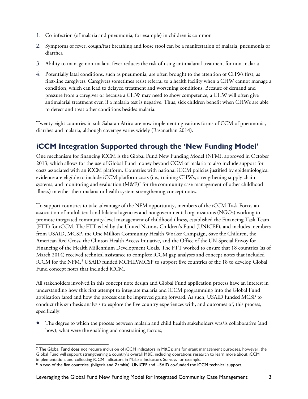- 1. Co-infection (of malaria and pneumonia, for example) in children is common
- 2. Symptoms of fever, cough/fast breathing and loose stool can be a manifestation of malaria, pneumonia or diarrhea
- 3. Ability to manage non-malaria fever reduces the risk of using antimalarial treatment for non-malaria
- 4. Potentially fatal conditions, such as pneumonia, are often brought to the attention of CHWs first, as first-line caregivers. Caregivers sometimes resist referral to a health facility when a CHW cannot manage a condition, which can lead to delayed treatment and worsening conditions. Because of demand and pressure from a caregiver or because a CHW may need to show competence, a CHW will often give antimalarial treatment even if a malaria test is negative. Thus, sick children benefit when CHWs are able to detect and treat other conditions besides malaria.

Twenty-eight countries in sub-Saharan Africa are now implementing various forms of CCM of pneumonia, diarrhea and malaria, although coverage varies widely (Rasanathan 2014).

## <span id="page-8-0"></span>**iCCM Integration Supported through the 'New Funding Model'**

One mechanism for financing iCCM is the Global Fund New Funding Model (NFM), approved in October 2013, which allows for the use of Global Fund money beyond CCM of malaria to also include support for costs associated with an iCCM platform. Countries with national iCCM policies justified by epidemiological evidence are eligible to include iCCM platform costs (i.e., training CHWs, strengthening supply chain systems, and monitoring and evaluation  $(M&E)^7$  $(M&E)^7$  for the community case management of other childhood illness) in either their malaria or health system strengthening concept notes.

To support countries to take advantage of the NFM opportunity, members of the iCCM Task Force, an association of multilateral and bilateral agencies and nongovernmental organizations (NGOs) working to promote integrated community-level management of childhood illness, established the Financing Task Team (FTT) for iCCM. The FTT is led by the United Nations Children's Fund (UNICEF), and includes members from USAID, MCSP, the One Million Community Health Worker Campaign, Save the Children, the American Red Cross, the Clinton Health Access Initiative, and the Office of the UN Special Envoy for Financing of the Health Millennium Development Goals. The FTT worked to ensure that 18 countries (as of March 2014) received technical assistance to complete iCCM gap analyses and concept notes that included iCCM for the NFM.<sup>[8](#page-8-2)</sup> USAID funded MCHIP/MCSP to support five countries of the 18 to develop Global Fund concept notes that included iCCM.

All stakeholders involved in this concept note design and Global Fund application process have an interest in understanding how this first attempt to integrate malaria and iCCM programming into the Global Fund application fared and how the process can be improved going forward. As such, USAID funded MCSP to conduct this synthesis analysis to explore the five country experiences with, and outcomes of, this process, specifically:

• The degree to which the process between malaria and child health stakeholders was/is collaborative (and how); what were the enabling and constraining factors;

<span id="page-8-2"></span><span id="page-8-1"></span>j <sup>7</sup> The Global Fund does not require inclusion of iCCM indicators in M&E plans for grant management purposes, however, the Global Fund will support strengthening a country's overall M&E, including operations research to learn more about iCCM implementation, and collecting iCCM indicators in Malaria Indicators Surveys for example. <sup>8</sup> In two of the five countries, (Nigeria and Zambia), UNICEF and USAID co-funded the iCCM technical support.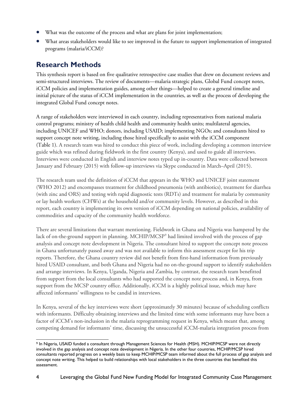- What was the outcome of the process and what are plans for joint implementation;
- What areas stakeholders would like to see improved in the future to support implementation of integrated programs (malaria/iCCM)?

### <span id="page-9-0"></span>**Research Methods**

This synthesis report is based on five qualitative retrospective case studies that drew on document reviews and semi-structured interviews. The review of documents—malaria strategic plans, Global Fund concept notes, iCCM policies and implementation guides, among other things—helped to create a general timeline and initial picture of the status of iCCM implementation in the countries, as well as the process of developing the integrated Global Fund concept notes.

A range of stakeholders were interviewed in each country, including representatives from national malaria control programs; ministry of health child health and community health units; multilateral agencies, including UNICEF and WHO; donors, including USAID; implementing NGOs; and consultants hired to support concept note writing, including those hired specifically to assist with the iCCM component (Table 1). A research team was hired to conduct this piece of work, including developing a common interview guide which was refined during fieldwork in the first country (Kenya), and used to guide all interviews. Interviews were conducted in English and interview notes typed up in-country. Data were collected between January and February (2015) with follow-up interviews via Skype conducted in March–April (2015).

The research team used the definition of iCCM that appears in the WHO and UNICEF joint statement (WHO 2012) and encompasses treatment for childhood pneumonia (with antibiotics), treatment for diarrhea (with zinc and ORS) and testing with rapid diagnostic tests (RDTs) and treatment for malaria by community or lay health workers (CHWs) at the household and/or community levels. However, as described in this report, each country is implementing its own version of iCCM depending on national policies, availability of commodities and capacity of the community health workforce.

There are several limitations that warrant mentioning. Fieldwork in Ghana and Nigeria was hampered by the lack of on-the-ground support in planning. MCHIP/MCSP<sup>[9](#page-9-1)</sup> had limited involved with the process of gap analysis and concept note development in Nigeria. The consultant hired to support the concept note process in Ghana unfortunately passed away and was not available to inform this assessment except for his trip reports. Therefore, the Ghana country review did not benefit from first-hand information from previously hired USAID consultant, and both Ghana and Nigeria had no on-the-ground support to identify stakeholders and arrange interviews. In Kenya, Uganda, Nigeria and Zambia, by contrast, the research team benefitted from support from the local consultants who had supported the concept note process and, in Kenya, from support from the MCSP country office. Additionally, iCCM is a highly political issue, which may have affected informants' willingness to be candid in interviews.

In Kenya, several of the key interviews were short (approximately 30 minutes) because of scheduling conflicts with informants. Difficulty obtaining interviews and the limited time with some informants may have been a factor of iCCM's non-inclusion in the malaria reprogramming request in Kenya, which meant that, among competing demand for informants' time, discussing the unsuccessful iCCM-malaria integration process from

<span id="page-9-1"></span> $\overline{a}$ <sup>9</sup> In Nigeria, USAID funded a consultant through Management Sciences for Health (MSH). MCHIP/MCSP were not directly involved in the gap analysis and concept note development in Nigeria. In the other four countries, MCHIP/MCSP hired consultants reported progress on a weekly basis to keep MCHIP/MCSP team informed about the full process of gap analysis and concept note writing. This helped to build relationships with local stakeholders in the three countries that benefited this assessment.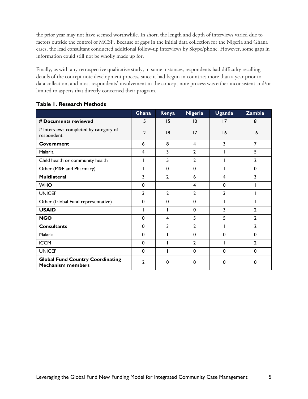the prior year may not have seemed worthwhile. In short, the length and depth of interviews varied due to factors outside the control of MCSP. Because of gaps in the initial data collection for the Nigeria and Ghana cases, the lead consultant conducted additional follow-up interviews by Skype/phone. However, some gaps in information could still not be wholly made up for.

Finally, as with any retrospective qualitative study, in some instances, respondents had difficulty recalling details of the concept note development process, since it had begun in countries more than a year prior to data collection, and most respondents' involvement in the concept note process was either inconsistent and/or limited to aspects that directly concerned their program.

|                                                                     | Ghana    | Kenya          | <b>Nigeria</b>  | <b>Uganda</b> | <b>Zambia</b>  |
|---------------------------------------------------------------------|----------|----------------|-----------------|---------------|----------------|
| # Documents reviewed                                                | 15       | 15             | $\overline{10}$ | 17            | 8              |
| # Interviews completed by category of<br>respondent:                | 12       | 18             | 17              | 16            | 16             |
| Government                                                          | 6        | 8              | 4               | 3             | $\overline{7}$ |
| Malaria                                                             | 4        | 3              | $\mathbf{c}$    |               | 5              |
| Child health or community health                                    |          | 5              | $\overline{2}$  |               | $\mathbf{2}$   |
| Other (M&E and Pharmacy)                                            |          | $\mathbf 0$    | 0               |               | 0              |
| <b>Multilateral</b>                                                 | 3        | $\overline{2}$ | 6               | 4             | 3              |
| <b>WHO</b>                                                          | 0        |                | 4               | $\Omega$      |                |
| <b>UNICEF</b>                                                       | 3        | $\mathbf{c}$   | 2               | 3             |                |
| Other (Global Fund representative)                                  | $\Omega$ | 0              | $\Omega$        |               |                |
| <b>USAID</b>                                                        |          |                | $\Omega$        | 3             | $\mathbf{2}$   |
| <b>NGO</b>                                                          | $\Omega$ | 4              | 5               | 5             | $\mathbf{2}$   |
| <b>Consultants</b>                                                  | $\Omega$ | 3              | $\overline{2}$  |               | $\overline{2}$ |
| Malaria                                                             | $\Omega$ |                | $\Omega$        | $\Omega$      | $\Omega$       |
| <b>iCCM</b>                                                         | 0        |                | $\overline{2}$  |               | $\overline{2}$ |
| <b>UNICEF</b>                                                       | $\Omega$ |                | $\Omega$        | $\Omega$      | $\Omega$       |
| <b>Global Fund Country Coordinating</b><br><b>Mechanism members</b> | 2        | 0              | 0               | 0             | 0              |

#### **Table 1. Research Methods**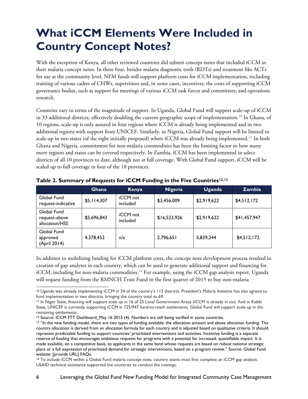# <span id="page-11-0"></span>**What iCCM Elements Were Included in Country Concept Notes?**

With the exception of Kenya, all other reviewed countries did submit concept notes that included iCCM in their malaria concept notes. In these four, besides malaria diagnostic tools (RDTs) and treatment like ACTs for use at the community level, NFM funds will support platform costs for iCCM implementation, including training of various cadres of CHWs, supervision and, in some cases, incentives; the costs of supporting iCCM governance bodies, such as support for meetings of various iCCM task forces and committees; and operations research.

Countries vary in terms of the magnitude of support. In Uganda, Global Fund will support scale-up of iCCM in 33 additional districts, effectively doubling the current geographic scope of implementation.<sup>[10](#page-11-1)</sup> In Ghana, of 10 regions, scale-up is only assured in four regions where iCCM is already being implemented and in two additional regions with support from UNICEF. Similarly, in Nigeria, Global Fund support will be limited to scale-up in two states (of the eight initially proposed) where iCCM was already being implemented.<sup>[11](#page-11-2)</sup> In both Ghana and Nigeria, commitment for non-malaria commodities has been the limiting factor to how many more regions and states can be covered respectively. In Zambia, iCCM has been implemented in select districts of all 10 provinces to date, although not at full coverage. With Global Fund support, iCCM will be scaled up to full coverage in four of the 10 provinces.

|                                                | Ghana       | Kenya                | <b>Nigeria</b> | <b>Uganda</b> | <b>Zambia</b> |
|------------------------------------------------|-------------|----------------------|----------------|---------------|---------------|
| Global Fund<br>request-indicative              | \$5,114,307 | iCCM not<br>included | \$3,456,009    | \$2,919,622   | \$4,512,172   |
| Global Fund<br>request-above<br>allocation/HSS | \$5,696,843 | iCCM not<br>included | \$16,523,926   | \$2,919,622   | \$41,457,947  |
| Global Fund<br>approved<br>(April 2014)        | 4,378,452   | n/a                  | 2,796,651      | 5,839,244     | \$4,512,172   |

**Table 2. Summary of Requests for iCCM Funding in the Five Countries[12](#page-11-3),[13](#page-11-4)**

In addition to mobilizing funding for iCCM platform costs, the concept note development process resulted in creation of gap analyses in each country, which can be used to generate additional support and financing for iCCM, including for non-malaria commodities.<sup>[14](#page-11-5)</sup> For example, using the iCCM gap analysis report, Uganda will request funding from the RMNCH Trust Fund in the first quarter of 2015 to buy non-malaria

<span id="page-11-1"></span>j <sup>10</sup> Uganda was already implementing iCCM in 34 of the country's 112 districts. President's Malaria Initiative has also agreed to fund implementation in two districts, bringing the country total to 69.

<span id="page-11-2"></span><sup>11</sup> In Niger State, financing will support scale up in 16 of 25 Local Government Areas (iCCM is already in six). And in Kebbi State, UNICEF is currently supporting iCCM in 725/947 hard-to-reach settlements. Global Fund will support scale-up in the remaining settlements.

<span id="page-11-3"></span><sup>&</sup>lt;sup>12</sup> Source: iCCM FTT Dashboard May 16 2015 (4). Numbers are still being verified in some countries.

<span id="page-11-4"></span><sup>&</sup>lt;sup>13</sup> "In the new funding model, there are two types of funding available; the allocation amount and above allocation funding. The country allocation is derived from an allocation formula for each country and is adjusted based on qualitative criteria. It should represent predictable funding to support countries' prioritized interventions and activities. Incentive funding is a separate reserve of funding that encourages ambitious requests for programs with a potential for increased, quantifiable impact. It is made available, on a competitive basis, to applicants in the same band whose requests are based on robust national strategic plans or a full expression of prioritized demand for strategic interventions, based on a program review." Source: Global Fund website: [provide URL] FAQs.

<span id="page-11-5"></span><sup>14</sup> To include iCCM within a Global Fund malaria concept note, country teams must first complete an iCCM gap analysis. USAID technical assistance supported the countries to conduct the costings.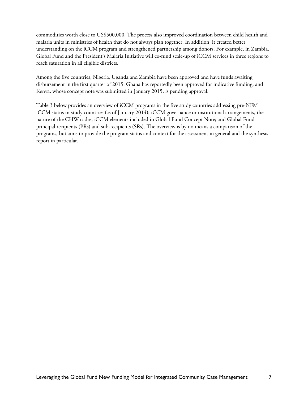commodities worth close to US\$500,000. The process also improved coordination between child health and malaria units in ministries of health that do not always plan together. In addition, it created better understanding on the iCCM program and strengthened partnership among donors. For example, in Zambia, Global Fund and the President's Malaria Initiative will co-fund scale-up of iCCM services in three regions to reach saturation in all eligible districts.

Among the five countries, Nigeria, Uganda and Zambia have been approved and have funds awaiting disbursement in the first quarter of 2015. Ghana has reportedly been approved for indicative funding; and Kenya, whose concept note was submitted in January 2015, is pending approval.

Table 3 below provides an overview of iCCM programs in the five study countries addressing pre-NFM iCCM status in study countries (as of January 2014); iCCM governance or institutional arrangements, the nature of the CHW cadre, iCCM elements included in Global Fund Concept Note; and Global Fund principal recipients (PRs) and sub-recipients (SRs). The overview is by no means a comparison of the programs, but aims to provide the program status and context for the assessment in general and the synthesis report in particular.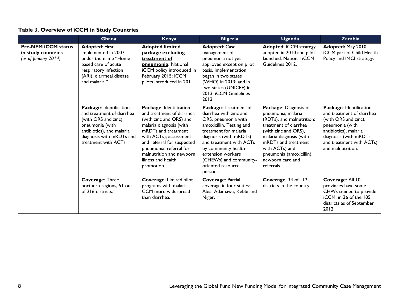### **Table 3. Overview of iCCM in Study Countries**

|                                                                          | Ghana                                                                                                                                                                                   | Kenya                                                                                                                                                                                                                                                                                       | <b>Nigeria</b>                                                                                                                                                                                                                                                                                 | <b>Uganda</b>                                                                                                                                                                                                                                                      | <b>Zambia</b>                                                                                                                                                                                             |
|--------------------------------------------------------------------------|-----------------------------------------------------------------------------------------------------------------------------------------------------------------------------------------|---------------------------------------------------------------------------------------------------------------------------------------------------------------------------------------------------------------------------------------------------------------------------------------------|------------------------------------------------------------------------------------------------------------------------------------------------------------------------------------------------------------------------------------------------------------------------------------------------|--------------------------------------------------------------------------------------------------------------------------------------------------------------------------------------------------------------------------------------------------------------------|-----------------------------------------------------------------------------------------------------------------------------------------------------------------------------------------------------------|
| <b>Pre-NFM iCCM status</b><br>in study countries<br>(as of January 2014) | <b>Adopted: First</b><br>implemented in 2007<br>under the name "Home-<br>based care of acute<br>respiratory infection<br>(ARI), diarrheal disease<br>and malaria."                      | <b>Adopted limited</b><br>package excluding<br>treatment of<br>pneumonia: National<br>iCCM policy introduced in<br>February 2015; iCCM<br>pilots introduced in 2011.                                                                                                                        | <b>Adopted: Case</b><br>management of<br>pneumonia not yet<br>approved except on pilot<br>basis. Implementation<br>began in two states<br>(WHO) in 2013; and in<br>two states (UNICEF) in<br>2013. iCCM Guidelines<br>2013.                                                                    | <b>Adopted: iCCM strategy</b><br>adopted in 2010 and pilot<br>launched. National iCCM<br>Guidelines 2012.                                                                                                                                                          | Adopted: May 2010;<br>iCCM part of Child Health<br>Policy and IMCI strategy.                                                                                                                              |
|                                                                          | <b>Package:</b> Identification<br>and treatment of diarrhea<br>(with ORS and zinc),<br>pneumonia (with<br>antibiotics), and malaria<br>diagnosis with mRDTs and<br>treatment with ACTs. | <b>Package:</b> Identification<br>and treatment of diarrhea<br>(with zinc and ORS) and<br>malaria diagnosis (with<br>mRDTs and treatment<br>with ACTs); assessment<br>and referral for suspected<br>pneumonia; referral for<br>malnutrition and newborn<br>illness and health<br>promotion. | <b>Package:</b> Treatment of<br>diarrhea with zinc and<br>ORS, pneumonia with<br>amoxicillin. Testing and<br>treatment for malaria<br>diagnosis (with mRDTs)<br>and treatment with ACTs<br>by community health<br>extension workers<br>(CHEWs) and community-<br>oriented resource<br>persons. | <b>Package:</b> Diagnosis of<br>pneumonia, malaria<br>(RDTs), and malnutrition;<br>treatment of diarrhea<br>(with zinc and ORS),<br>malaria diagnosis (with<br>mRDTs and treatment<br>with ACTs) and<br>pneumonia (amoxicillin),<br>newborn care and<br>referrals. | <b>Package:</b> Identification<br>and treatment of diarrhea<br>(with ORS and zinc),<br>pneumonia (with<br>antibiotics), malaria<br>diagnosis (with mRDTs<br>and treatment with ACTs)<br>and malnutrition. |
|                                                                          | <b>Coverage: Three</b><br>northern regions, 51 out<br>of 216 districts.                                                                                                                 | Coverage: Limited pilot<br>programs with malaria<br>CCM more widespread<br>than diarrhea.                                                                                                                                                                                                   | <b>Coverage: Partial</b><br>coverage in four states:<br>Abia, Adamawa, Kebbi and<br>Niger.                                                                                                                                                                                                     | Coverage: 34 of 112<br>districts in the country                                                                                                                                                                                                                    | Coverage: All 10<br>provinces have some<br>CHWs trained to provide<br>iCCM; in 36 of the 105<br>districts as of September<br>2012.                                                                        |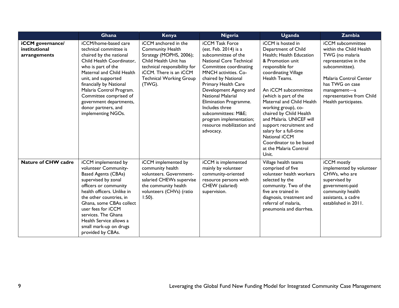|                                                   | Ghana                                                                                                                                                                                                                                                                                                                                     | Kenya                                                                                                                                                                                                     | <b>Nigeria</b>                                                                                                                                                                                                                                                                                                                                                                                 | <b>Uganda</b>                                                                                                                                                                                                                                                                                                                                                                                                                                        | Zambia                                                                                                                                                                                                                       |
|---------------------------------------------------|-------------------------------------------------------------------------------------------------------------------------------------------------------------------------------------------------------------------------------------------------------------------------------------------------------------------------------------------|-----------------------------------------------------------------------------------------------------------------------------------------------------------------------------------------------------------|------------------------------------------------------------------------------------------------------------------------------------------------------------------------------------------------------------------------------------------------------------------------------------------------------------------------------------------------------------------------------------------------|------------------------------------------------------------------------------------------------------------------------------------------------------------------------------------------------------------------------------------------------------------------------------------------------------------------------------------------------------------------------------------------------------------------------------------------------------|------------------------------------------------------------------------------------------------------------------------------------------------------------------------------------------------------------------------------|
| iCCM governance/<br>institutional<br>arrangements | iCCM/home-based care<br>technical committee is<br>chaired by the national<br>Child Health Coordinator,<br>who is part of the<br>Maternal and Child Health<br>unit, and supported<br>financially by National<br>Malaria Control Program.<br>Committee comprised of<br>government departments,<br>donor partners, and<br>implementing NGOs. | iCCM anchored in the<br><b>Community Health</b><br>Strategy (MOPHS, 2006);<br>Child Health Unit has<br>technical responsibility for<br>iCCM. There is an iCCM<br><b>Technical Working Group</b><br>(TWG). | <b>iCCM Task Force</b><br>(est. Feb. 2014) is a<br>subcommittee of the<br>National Core Technical<br>Committee coordinating<br>MNCH activities. Co-<br>chaired by National<br>Primary Health Care<br>Development Agency and<br><b>National Malarial</b><br>Elimination Programme.<br>Includes three<br>subcommittees: M&E<br>program implementation;<br>resource mobilization and<br>advocacy. | iCCM is hosted in<br>Department of Child<br>Health; Health Education<br>& Promotion unit<br>responsible for<br>coordinating Village<br>Health Teams.<br>An iCCM subcommittee<br>(which is part of the<br>Maternal and Child Health<br>working group), co-<br>chaired by Child Health<br>and Malaria. UNICEF will<br>support recruitment and<br>salary for a full-time<br>National iCCM<br>Coordinator to be based<br>at the Malaria Control<br>Unit. | iCCM subcommittee<br>within the Child Health<br>TWG (no malaria<br>representative in the<br>subcommittee).<br>Malaria Control Center<br>has TWG on case<br>management-a<br>representative from Child<br>Health participates. |
| <b>Nature of CHW cadre</b>                        | iCCM implemented by<br>volunteer Community-<br><b>Based Agents (CBAs)</b><br>supervised by zonal<br>officers or community<br>health officers. Unlike in<br>the other countries, in<br>Ghana, some CBAs collect<br>user fees for iCCM<br>services. The Ghana<br>Health Service allows a<br>small mark-up on drugs<br>provided by CBAs.     | iCCM implemented by<br>community health<br>volunteers. Government-<br>salaried CHEWs supervise<br>the community health<br>volunteers (CHVs) (ratio<br>$1:50$ ).                                           | iCCM is implemented<br>mainly by volunteer<br>community-oriented<br>resource persons with<br>CHEW (salaried)<br>supervision.                                                                                                                                                                                                                                                                   | Village health teams<br>comprised of five<br>volunteer health workers<br>selected by the<br>community. Two of the<br>five are trained in<br>diagnosis, treatment and<br>referral of malaria,<br>pneumonia and diarrhea.                                                                                                                                                                                                                              | iCCM mostly<br>implemented by volunteer<br>CHWs, who are<br>supervised by<br>government-paid<br>community health<br>assistants, a cadre<br>established in 2011.                                                              |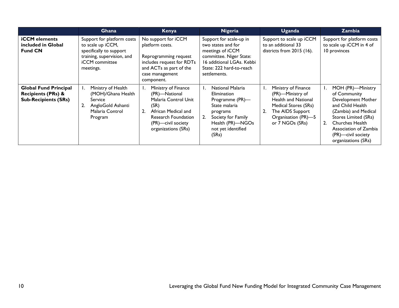|                                                                                              | <b>Ghana</b>                                                                                                                                   | Kenya                                                                                                                                                                       | Nigeria                                                                                                                                                               | <b>Uganda</b>                                                                                                                                               | <b>Zambia</b>                                                                                                                                                                                                              |
|----------------------------------------------------------------------------------------------|------------------------------------------------------------------------------------------------------------------------------------------------|-----------------------------------------------------------------------------------------------------------------------------------------------------------------------------|-----------------------------------------------------------------------------------------------------------------------------------------------------------------------|-------------------------------------------------------------------------------------------------------------------------------------------------------------|----------------------------------------------------------------------------------------------------------------------------------------------------------------------------------------------------------------------------|
| <b>iCCM</b> elements<br>included in Global<br><b>Fund CN</b>                                 | Support for platform costs<br>to scale up iCCM,<br>specifically to support<br>training, supervision, and<br><b>iCCM</b> committee<br>meetings. | No support for iCCM<br>platform costs.<br>Reprogramming request<br>includes request for RDTs<br>and ACTs as part of the<br>case management<br>component.                    | Support for scale-up in<br>two states and for<br>meetings of iCCM<br>committee. Niger State:<br>16 additional LGAs. Kebbi<br>State: 222 hard-to-reach<br>settlements. | Support to scale up iCCM<br>to an additional 33<br>districts from 2015 (16).                                                                                | Support for platform costs<br>to scale up iCCM in 4 of<br>10 provinces                                                                                                                                                     |
| <b>Global Fund Principal</b><br><b>Recipients (PRs) &amp;</b><br><b>Sub-Recipients (SRs)</b> | Ministry of Health<br>(MOH)/Ghana Health<br>Service<br>AngloGold Ashanti<br>2.<br>Malaria Control<br>Program                                   | Ministry of Finance<br>Ι.<br>(PR)-National<br>Malaria Control Unit<br>(SR)<br>African Medical and<br>2.<br>Research Foundation<br>(PR)-civil society<br>organizations (SRs) | National Malaria<br>Elimination<br>Programme (PR)—<br>State malaria<br>programs<br>2.<br>Society for Family<br>Health (PR)-NGOs<br>not yet identified<br>(SRs)        | Ministry of Finance<br>(PR)—Ministry of<br><b>Health and National</b><br>Medical Stores (SRs)<br>The AIDS Support<br>Organisation (PR)-5<br>or 7 NGOs (SRs) | MOH (PR)-Ministry<br>of Community<br>Development Mother<br>and Child Health<br>(Zambia) and Medical<br>Stores Limited (SRs)<br>Churches Health<br>2.<br>Association of Zambia<br>(PR)—civil society<br>organizations (SRs) |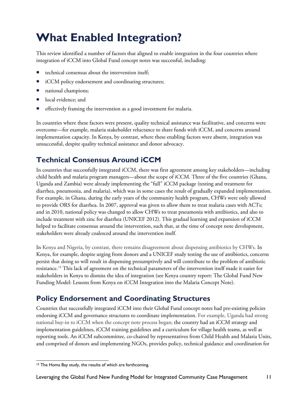# <span id="page-16-0"></span>**What Enabled Integration?**

This review identified a number of factors that aligned to enable integration in the four countries where integration of iCCM into Global Fund concept notes was successful, including:

- technical consensus about the intervention itself;
- iCCM policy endorsement and coordinating structures;
- national champions;
- local evidence; and
- effectively framing the intervention as a good investment for malaria.

In countries where these factors were present, quality technical assistance was facilitative, and concerns were overcome—for example, malaria stakeholder reluctance to share funds with iCCM, and concerns around implementation capacity. In Kenya, by contrast, where these enabling factors were absent, integration was unsuccessful, despite quality technical assistance and donor advocacy.

## <span id="page-16-1"></span>**Technical Consensus Around iCCM**

In countries that successfully integrated iCCM, there was first agreement among key stakeholders—including child health and malaria program managers—about the scope of iCCM. Three of the five countries (Ghana, Uganda and Zambia) were already implementing the "full" iCCM package (testing and treatment for diarrhea, pneumonia, and malaria), which was in some cases the result of gradually expanded implementation. For example, in Ghana, during the early years of the community health program, CHWs were only allowed to provide ORS for diarrhea. In 2007, approval was given to allow them to treat malaria cases with ACTs; and in 2010, national policy was changed to allow CHWs to treat pneumonia with antibiotics, and also to include treatment with zinc for diarrhea (UNICEF 2012). This gradual learning and expansion of iCCM helped to facilitate consensus around the intervention, such that, at the time of concept note development, stakeholders were already coalesced around the intervention itself.

In Kenya and Nigeria, by contrast, there remains disagreement about dispensing antibiotics by CHWs. In Kenya, for example, despite urging from donors and a UNICEF study testing the use of antibiotics, concerns persist that doing so will result in dispensing presumptively and will contribute to the problem of antibiotic resistance.[15](#page-16-3) This lack of agreement on the technical parameters of the intervention itself made it easier for stakeholders in Kenya to dismiss the idea of integration (see Kenya country report: The Global Fund New Funding Model: Lessons from Kenya on iCCM Integration into the Malaria Concept Note).

### <span id="page-16-2"></span>**Policy Endorsement and Coordinating Structures**

Countries that successfully integrated iCCM into their Global Fund concept notes had pre-existing policies endorsing iCCM and governance structures to coordinate implementation. For example, Uganda had strong national buy-in to iCCM when the concept note process began; the country had an iCCM strategy and implementation guidelines, iCCM training guidelines and a curriculum for village health teams, as well as reporting tools. An iCCM subcommittee, co-chaired by representatives from Child Health and Malaria Units, and comprised of donors and implementing NGOs, provides policy, technical guidance and coordination for

<span id="page-16-3"></span> $\overline{a}$ <sup>15</sup> The Homa Bay study, the results of which are forthcoming.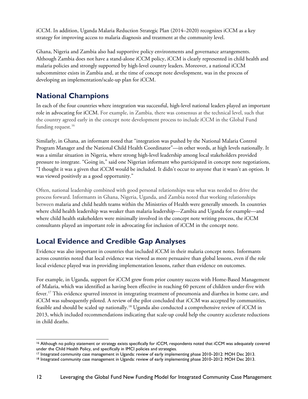iCCM. In addition, Uganda Malaria Reduction Strategic Plan (2014–2020) recognizes iCCM as a key strategy for improving access to malaria diagnosis and treatment at the community level.

Ghana, Nigeria and Zambia also had supportive policy environments and governance arrangements. Although Zambia does not have a stand-alone iCCM policy, iCCM is clearly represented in child health and malaria policies and strongly supported by high-level country leaders. Moreover, a national iCCM subcommittee exists in Zambia and, at the time of concept note development, was in the process of developing an implementation/scale-up plan for iCCM.

### <span id="page-17-0"></span>**National Champions**

In each of the four countries where integration was successful, high-level national leaders played an important role in advocating for iCCM. For example, in Zambia, there was consensus at the technical level, such that the country agreed early in the concept note development process to include iCCM in the Global Fund funding request. $16$ 

Similarly, in Ghana, an informant noted that "integration was pushed by the National Malaria Control Program Manager and the National Child Health Coordinator"—in other words, at high levels nationally. It was a similar situation in Nigeria, where strong high-level leadership among local stakeholders provided pressure to integrate. "Going in," said one Nigerian informant who participated in concept note negotiations, "I thought it was a given that iCCM would be included. It didn't occur to anyone that it wasn't an option. It was viewed positively as a good opportunity."

Often, national leadership combined with good personal relationships was what was needed to drive the process forward. Informants in Ghana, Nigeria, Uganda, and Zambia noted that working relationships between malaria and child health teams within the Ministries of Health were generally smooth. In countries where child health leadership was weaker than malaria leadership—Zambia and Uganda for example—and where child health stakeholders were minimally involved in the concept note writing process, the iCCM consultants played an important role in advocating for inclusion of iCCM in the concept note.

## <span id="page-17-1"></span>**Local Evidence and Credible Gap Analyses**

Evidence was also important in countries that included iCCM in their malaria concept notes. Informants across countries noted that local evidence was viewed as more persuasive than global lessons, even if the role local evidence played was in providing implementation lessons, rather than evidence on outcomes.

For example, in Uganda, support for iCCM grew from prior country success with Home-Based Management of Malaria, which was identified as having been effective in reaching 60 percent of children under-five with fever.<sup>[17](#page-17-3)</sup> This evidence spurred interest in integrating treatment of pneumonia and diarrhea in home care, and iCCM was subsequently piloted. A review of the pilot concluded that iCCM was accepted by communities, feasible and should be scaled up nationally[.18](#page-17-4) Uganda also conducted a comprehensive review of iCCM in 2013, which included recommendations indicating that scale-up could help the country accelerate reductions in child deaths.

<span id="page-17-2"></span> $\overline{a}$ <sup>16</sup> Although no policy statement or strategy exists specifically for iCCM, respondents noted that iCCM was adequately covered under the Child Health Policy, and specifically in IMCI policies and strategies.

<span id="page-17-3"></span><sup>17</sup> Integrated community case management in Uganda: review of early implementing phase 2010–2012: MOH Dec 2013.

<span id="page-17-4"></span><sup>18</sup> Integrated community case management in Uganda: review of early implementing phase 2010–2012: MOH Dec 2013.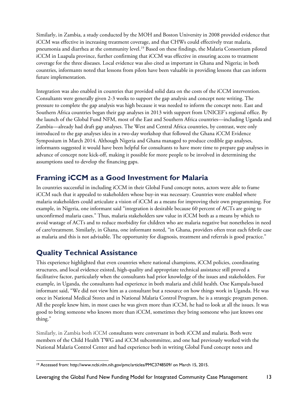Similarly, in Zambia, a study conducted by the MOH and Boston University in 2008 provided evidence that iCCM was effective in increasing treatment coverage, and that CHWs could effectively treat malaria, pneumonia and diarrhea at the community level.[19](#page-18-2) Based on these findings, the Malaria Consortium piloted iCCM in Luapula province, further confirming that iCCM was effective in ensuring access to treatment coverage for the three diseases. Local evidence was also cited as important in Ghana and Nigeria; in both countries, informants noted that lessons from pilots have been valuable in providing lessons that can inform future implementation.

Integration was also enabled in countries that provided solid data on the costs of the iCCM intervention. Consultants were generally given 2-3 weeks to support the gap analysis and concept note writing. The pressure to complete the gap analysis was high because it was needed to inform the concept note. East and Southern Africa countries began their gap analyses in 2013 with support from UNICEF's regional office. By the launch of the Global Fund NFM, most of the East and Southern Africa countries—including Uganda and Zambia—already had draft gap analyses. The West and Central Africa countries, by contrast, were only introduced to the gap analyses idea in a two-day workshop that followed the Ghana iCCM Evidence Symposium in March 2014. Although Nigeria and Ghana managed to produce credible gap analyses, informants suggested it would have been helpful for consultants to have more time to prepare gap analyses in advance of concept note kick-off, making it possible for more people to be involved in determining the assumptions used to develop the financing gaps.

### <span id="page-18-0"></span>**Framing iCCM as a Good Investment for Malaria**

In countries successful in including iCCM in their Global Fund concept notes, actors were able to frame iCCM such that it appealed to stakeholders whose buy-in was necessary. Countries were enabled where malaria stakeholders could articulate a vision of iCCM as a means for improving their own programming. For example, in Nigeria, one informant said "integration is desirable because 60 percent of ACTs are going to unconfirmed malaria cases." Thus, malaria stakeholders saw value in iCCM both as a means by which to avoid wastage of ACTs and to reduce morbidity for children who are malaria negative but nonetheless in need of care/treatment. Similarly, in Ghana, one informant noted, "in Ghana, providers often treat each febrile case as malaria and this is not advisable. The opportunity for diagnosis, treatment and referrals is good practice."

## <span id="page-18-1"></span>**Quality Technical Assistance**

This experience highlighted that even countries where national champions, iCCM policies, coordinating structures, and local evidence existed, high-quality and appropriate technical assistance still proved a facilitative factor, particularly when the consultants had prior knowledge of the issues and stakeholders. For example, in Uganda, the consultants had experience in both malaria and child health. One Kampala-based informant said, "We did not view him as a consultant but a resource on how things work in Uganda. He was once in National Medical Stores and in National Malaria Control Program, he is a strategic program person. All the people knew him, in most cases he was given more than iCCM, he had to look at all the issues. It was good to bring someone who knows more than iCCM, sometimes they bring someone who just knows one thing."

Similarly, in Zambia both iCCM consultants were conversant in both iCCM and malaria. Both were members of the Child Health TWG and iCCM subcommittee, and one had previously worked with the National Malaria Control Center and had experience both in writing Global Fund concept notes and

<span id="page-18-2"></span> $\overline{a}$ <sup>19</sup> Accessed from: http://www.ncbi.nlm.nih.gov/pmc/articles/PMC3748509/ on March 15, 2015.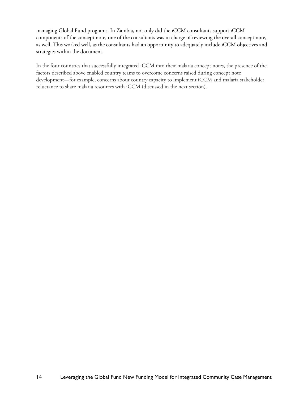managing Global Fund programs. In Zambia, not only did the iCCM consultants support iCCM components of the concept note, one of the consultants was in charge of reviewing the overall concept note, as well. This worked well, as the consultants had an opportunity to adequately include iCCM objectives and strategies within the document.

In the four countries that successfully integrated iCCM into their malaria concept notes, the presence of the factors described above enabled country teams to overcome concerns raised during concept note development—for example, concerns about country capacity to implement iCCM and malaria stakeholder reluctance to share malaria resources with iCCM (discussed in the next section).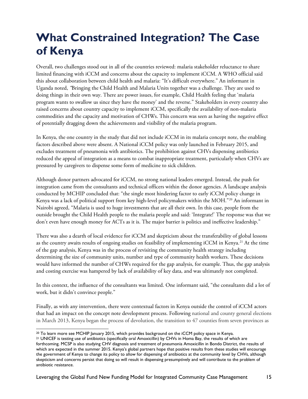# <span id="page-20-0"></span>**What Constrained Integration? The Case of Kenya**

Overall, two challenges stood out in all of the countries reviewed: malaria stakeholder reluctance to share limited financing with iCCM and concerns about the capacity to implement iCCM. A WHO official said this about collaboration between child health and malaria: "It's difficult everywhere." An informant in Uganda noted, *"*Bringing the Child Health and Malaria Units together was a challenge. They are used to doing things in their own way. There are power issues, for example, Child Health feeling that 'malaria program wants to swallow us since they have the money' and the reverse." Stakeholders in every country also raised concerns about country capacity to implement iCCM, specifically the availability of non-malaria commodities and the capacity and motivation of CHWs. This concern was seen as having the negative effect of potentially dragging down the achievements and visibility of the malaria program.

In Kenya, the one country in the study that did not include iCCM in its malaria concept note, the enabling factors described above were absent. A National iCCM policy was only launched in February 2015, and excludes treatment of pneumonia with antibiotics. The prohibition against CHVs dispensing antibiotics reduced the appeal of integration as a means to combat inappropriate treatment, particularly when CHVs are pressured by caregivers to dispense some form of medicine to sick children.

Although donor partners advocated for iCCM, no strong national leaders emerged. Instead, the push for integration came from the consultants and technical officers within the donor agencies. A landscape analysis conducted by MCHIP concluded that: "the single most hindering factor to early iCCM policy change in Kenya was a lack of political support from key high-level policymakers within the MOH."[20](#page-20-1) An informant in Nairobi agreed, "Malaria is used to huge investments that are all their own. In this case, people from the outside brought the Child Health people to the malaria people and said: 'Integrate!' The response was that we don't even have enough money for ACTs as it is. The major barrier is politics and ineffective leadership."

There was also a dearth of local evidence for iCCM and skepticism about the transferability of global lessons as the country awaits results of ongoing studies on feasibility of implementing iCCM in Kenya.<sup>[21](#page-20-2)</sup> At the time of the gap analysis, Kenya was in the process of revisiting the community health strategy including determining the size of community units, number and type of community health workers. These decisions would have informed the number of CHWs required for the gap analysis, for example. Thus, the gap analysis and costing exercise was hampered by lack of availability of key data, and was ultimately not completed.

In this context, the influence of the consultants was limited. One informant said, "the consultants did a lot of work, but it didn't convince people."

Finally, as with any intervention, there were contextual factors in Kenya outside the control of iCCM actors that had an impact on the concept note development process. Following national and county general elections in March 2013, Kenya began the process of devolution, the transition to 47 counties from seven provinces as

<span id="page-20-1"></span> $\overline{a}$ <sup>20</sup> To learn more see MCHIP January 2015, which provides background on the iCCM policy space in Kenya.<br><sup>21</sup> UNICEF is testing use of antibiotics (specifically oral Amoxicillin) by CHVs in Homa Bay, the results of which a

<span id="page-20-2"></span>forthcoming. MCSP is also studying CHV diagnosis and treatment of pneumonia Amoxicillin in Bondo District, the results of which are expected in the summer 2015. Kenya's global partners hope that positive results from these studies will encourage the government of Kenya to change its policy to allow for dispensing of antibiotics at the community level by CHVs, although skepticism and concerns persist that doing so will result in dispensing presumptively and will contribute to the problem of antibiotic resistance.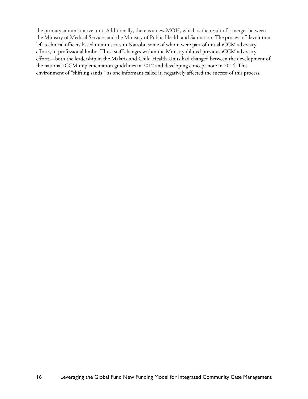the primary administrative unit. Additionally, there is a new MOH, which is the result of a merger between the Ministry of Medical Services and the Ministry of Public Health and Sanitation. The process of devolution left technical officers based in ministries in Nairobi, some of whom were part of initial iCCM advocacy efforts, in professional limbo. Thus, staff changes within the Ministry diluted previous iCCM advocacy efforts—both the leadership in the Malaria and Child Health Units had changed between the development of the national iCCM implementation guidelines in 2012 and developing concept note in 2014. This environment of "shifting sands," as one informant called it, negatively affected the success of this process.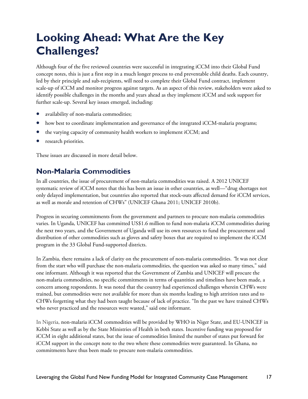# <span id="page-22-0"></span>**Looking Ahead: What Are the Key Challenges?**

Although four of the five reviewed countries were successful in integrating iCCM into their Global Fund concept notes, this is just a first step in a much longer process to end preventable child deaths. Each country, led by their principle and sub-recipients, will need to complete their Global Fund contract, implement scale-up of iCCM and monitor progress against targets. As an aspect of this review, stakeholders were asked to identify possible challenges in the months and years ahead as they implement iCCM and seek support for further scale-up. Several key issues emerged, including:

- availability of non-malaria commodities;
- how best to coordinate implementation and governance of the integrated iCCM-malaria programs;
- the varying capacity of community health workers to implement iCCM; and
- research priorities.

These issues are discussed in more detail below.

### <span id="page-22-1"></span>**Non-Malaria Commodities**

In all countries, the issue of procurement of non-malaria commodities was raised. A 2012 UNICEF systematic review of iCCM notes that this has been an issue in other countries, as well—"drug shortages not only delayed implementation, but countries also reported that stock-outs affected demand for iCCM services, as well as morale and retention of CHWs" (UNICEF Ghana 2011; UNICEF 2010b).

Progress in securing commitments from the government and partners to procure non-malaria commodities varies. In Uganda, UNICEF has committed US\$1.6 million to fund non-malaria iCCM commodities during the next two years, and the Government of Uganda will use its own resources to fund the procurement and distribution of other commodities such as gloves and safety boxes that are required to implement the iCCM program in the 33 Global Fund-supported districts.

In Zambia, there remains a lack of clarity on the procurement of non-malaria commodities. *"*It was not clear from the start who will purchase the non-malaria commodities, the question was asked so many times," said one informant. Although it was reported that the Government of Zambia and UNICEF will procure the non-malaria commodities, no specific commitments in terms of quantities and timelines have been made, a concern among respondents. It was noted that the country had experienced challenges wherein CHWs were trained, but commodities were not available for more than six months leading to high attrition rates and to CHWs forgetting what they had been taught because of lack of practice. "In the past we have trained CHWs who never practiced and the resources were wasted," said one informant.

In Nigeria, non-malaria iCCM commodities will be provided by WHO in Niger State, and EU-UNICEF in Kebbi State as well as by the State Ministries of Health in both states. Incentive funding was proposed for iCCM in eight additional states, but the issue of commodities limited the number of states put forward for iCCM support in the concept note to the two where these commodities were guaranteed. In Ghana, no commitments have thus been made to procure non-malaria commodities.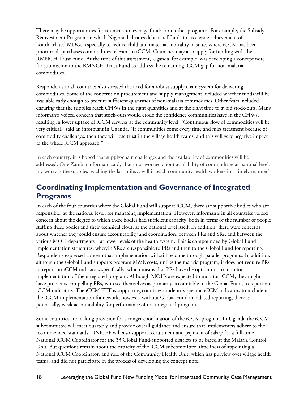There may be opportunities for countries to leverage funds from other programs. For example, the Subsidy Reinvestment Program, in which Nigeria dedicates debt-relief funds to accelerate achievement of health-related MDGs, especially to reduce child and maternal mortality in states where iCCM has been prioritized, purchases commodities relevant to iCCM. Countries may also apply for funding with the RMNCH Trust Fund. At the time of this assessment, Uganda, for example, was developing a concept note for submission to the RMNCH Trust Fund to address the remaining iCCM gap for non-malaria commodities.

Respondents in all countries also stressed the need for a robust supply chain system for delivering commodities. Some of the concerns on procurement and supply management included whether funds will be available early enough to procure sufficient quantities of non-malaria commodities. Other fears included ensuring that the supplies reach CHWs in the right quantities and at the right time to avoid stock-outs. Many informants voiced concern that stock-outs would erode the confidence communities have in the CHWs, resulting in lower uptake of iCCM services at the community level. *"*Continuous flow of commodities will be very critical," said an informant in Uganda. "If communities come every time and miss treatment because of commodity challenges, then they will lose trust in the village health teams, and this will very negative impact to the whole iCCM approach."

In each country, it is hoped that supply-chain challenges and the availability of commodities will be addressed. One Zambia informant said, "I am not worried about availability of commodities at national level; my worry is the supplies reaching the last mile… will it reach community health workers in a timely manner?"

## <span id="page-23-0"></span>**Coordinating Implementation and Governance of Integrated Programs**

In each of the four countries where the Global Fund will support iCCM, there are supportive bodies who are responsible, at the national level, for managing implementation. However, informants in all countries voiced concern about the degree to which these bodies had sufficient capacity, both in terms of the number of people staffing these bodies and their technical clout, at the national level itself. In addition, there were concerns about whether they could ensure accountability and coordination, between PRs and SRs, and between the various MOH departments—at lower levels of the health system. This is compounded by Global Fund implementation structures, wherein SRs are responsible to PRs and then to the Global Fund for reporting. Respondents expressed concern that implementation will still be done through parallel programs. In addition, although the Global Fund supports program M&E costs, unlike the malaria program, it does not require PRs to report on iCCM indicators specifically, which means that PRs have the option not to monitor implementation of the integrated program. Although MOHs are expected to monitor iCCM, they might have problems compelling PRs, who see themselves as primarily accountable to the Global Fund, to report on iCCM indicators. The iCCM FTT is supporting countries to identify specific iCCM indicators to include in the iCCM implementation framework, however, without Global Fund mandated reporting, there is potentially, weak accountability for performance of the integrated program.

Some countries are making provision for stronger coordination of the iCCM program. In Uganda the iCCM subcommittee will meet quarterly and provide overall guidance and ensure that implementers adhere to the recommended standards. UNICEF will also support recruitment and payment of salary for a full-time National iCCM Coordinator for the 33 Global Fund-supported districts to be based at the Malaria Control Unit. But questions remain about the capacity of the iCCM subcommittee, timeliness of appointing a National iCCM Coordinator, and role of the Community Health Unit, which has purview over village health teams, and did not participate in the process of developing the concept note.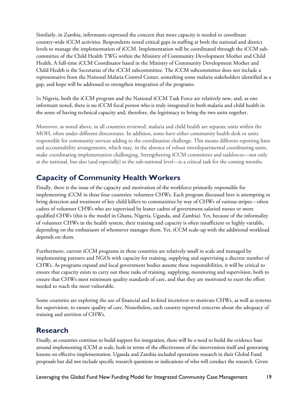Similarly, in Zambia, informants expressed the concern that more capacity is needed to coordinate country-wide iCCM activities. Respondents noted critical gaps in staffing at both the national and district levels to manage the implementation of iCCM. Implementation will be coordinated through the iCCM subcommittee of the Child Health TWG within the Ministry of Community Development Mother and Child Health. A full-time iCCM Coordinator based in the Ministry of Community Development Mother and Child Health is the Secretariat of the iCCM subcommittee. The iCCM subcommittee does not include a representative from the National Malaria Control Center, something some malaria stakeholders identified as a gap, and hope will be addressed to strengthen integration of the programs.

In Nigeria, both the iCCM program and the National iCCM Task Force are relatively new, and, as one informant noted, there is no iCCM focal person who is truly integrated in both malaria and child health in the sense of having technical capacity and, therefore, the legitimacy to bring the two units together.

Moreover, as noted above, in all countries reviewed, malaria and child health are separate units within the MOH, often under different directorates. In addition, some have either community health desk or units responsible for community services adding to the coordination challenge. This means different reporting lines and accountability arrangements, which may, in the absence of robust interdepartmental coordinating units, make coordinating implementation challenging. Strengthening iCCM committees and taskforces—not only at the national, but also (and especially) at the sub-national level—is a critical task for the coming months.

## <span id="page-24-0"></span>**Capacity of Community Health Workers**

Finally, there is the issue of the capacity and motivation of the workforce primarily responsible for implementing iCCM in these four countries: volunteer CHWs. Each program discussed here is attempting to bring detection and treatment of key child killers to communities by way of CHWs of various stripes—often cadres of volunteer CHWs who are supervised by leaner cadres of government-salaried nurses or more qualified CHWs (this is the model in Ghana, Nigeria, Uganda, and Zambia). Yet, because of the informality of volunteer CHWs in the health system, their training and capacity is often insufficient or highly variable, depending on the enthusiasm of whomever manages them. Yet, iCCM scale-up with the additional workload depends on them.

Furthermore, current iCCM programs in these countries are relatively small in scale and managed by implementing partners and NGOs with capacity for training, supplying and supervising a discrete number of CHWs. As programs expand and local government bodies assume these responsibilities, it will be critical to ensure that capacity exists to carry out these tasks of training, supplying, monitoring and supervision, both to ensure that CHWs meet minimum quality standards of care, and that they are motivated to exert the effort needed to reach the most vulnerable.

Some countries are exploring the use of financial and in-kind incentives to motivate CHWs, as well as systems for supervision, to ensure quality of care. Nonetheless, each country reported concerns about the adequacy of training and attrition of CHWs.

## <span id="page-24-1"></span>**Research**

Finally, as countries continue to build support for integration, there will be a need to build the evidence base around implementing iCCM at scale, both in terms of the effectiveness of the intervention itself and generating lessons on effective implementation. Uganda and Zambia included operations research in their Global Fund proposals but did not include specific research questions or indications of who will conduct the research. Given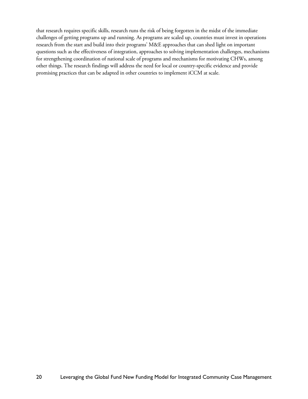that research requires specific skills, research runs the risk of being forgotten in the midst of the immediate challenges of getting programs up and running. As programs are scaled up, countries must invest in operations research from the start and build into their programs' M&E approaches that can shed light on important questions such as the effectiveness of integration, approaches to solving implementation challenges, mechanisms for strengthening coordination of national scale of programs and mechanisms for motivating CHWs, among other things. The research findings will address the need for local or country-specific evidence and provide promising practices that can be adapted in other countries to implement iCCM at scale.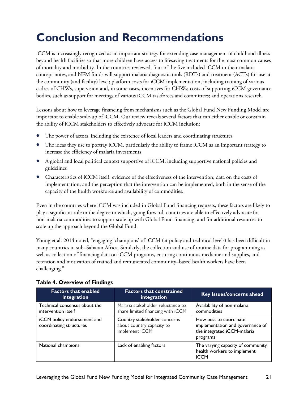# <span id="page-26-0"></span>**Conclusion and Recommendations**

[iCCM](http://ccmcentral.com/about/iccm/) is increasingly recognized as an important strategy for extending case management of childhood illness beyond health facilities so that more children have access to lifesaving treatments for the most common causes of mortality and morbidity. In the countries reviewed, four of the five included iCCM in their malaria concept notes, and NFM funds will support malaria diagnostic tools (RDTs) and treatment (ACTs) for use at the community (and facility) level; platform costs for iCCM implementation, including training of various cadres of CHWs, supervision and, in some cases, incentives for CHWs; costs of supporting iCCM governance bodies, such as support for meetings of various iCCM taskforces and committees; and operations research.

Lessons about how to leverage financing from mechanisms such as the Global Fund New Funding Model are important to enable scale-up of iCCM. Our review reveals several factors that can either enable or constrain the ability of iCCM stakeholders to effectively advocate for iCCM inclusion:

- The power of actors, including the existence of local leaders and coordinating structures
- The ideas they use to portray iCCM, particularly the ability to frame iCCM as an important strategy to increase the efficiency of malaria investments
- A global and local political context supportive of iCCM, including supportive national policies and guidelines
- Characteristics of iCCM itself: evidence of the effectiveness of the intervention; data on the costs of implementation; and the perception that the intervention can be implemented, both in the sense of the capacity of the health workforce and availability of commodities.

Even in the countries where iCCM was included in Global Fund financing requests, these factors are likely to play a significant role in the degree to which, going forward, countries are able to effectively advocate for non-malaria commodities to support scale up with Global Fund financing, and for additional resources to scale up the approach beyond the Global Fund.

Young et al. 2014 noted, "engaging 'champions' of iCCM (at policy and technical levels) has been difficult in many countries in sub–Saharan Africa. Similarly, the collection and use of routine data for programming as well as collection of financing data on iCCM programs, ensuring continuous medicine and supplies, and retention and motivation of trained and remunerated community–based health workers have been challenging."

| <b>Factors that enabled</b><br>integration             | <b>Factors that constrained</b><br>integration                              | Key Issues/concerns ahead                                                                             |
|--------------------------------------------------------|-----------------------------------------------------------------------------|-------------------------------------------------------------------------------------------------------|
| Technical consensus about the<br>intervention itself   | Malaria stakeholder reluctance to<br>share limited financing with iCCM      | Availability of non-malaria<br>commodities                                                            |
| iCCM policy endorsement and<br>coordinating structures | Country stakeholder concerns<br>about country capacity to<br>implement iCCM | How best to coordinate<br>implementation and governance of<br>the integrated iCCM-malaria<br>programs |
| National champions                                     | Lack of enabling factors                                                    | The varying capacity of community<br>health workers to implement<br><b>iCCM</b>                       |

#### **Table 4. Overview of Findings**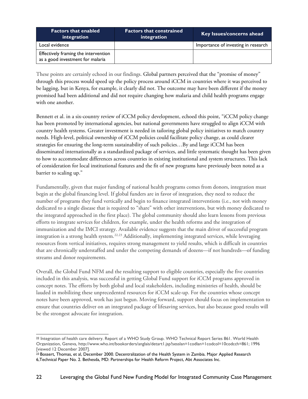| <b>Factors that enabled</b><br>integration                               | <b>Factors that constrained</b><br>integration | Key Issues/concerns ahead           |
|--------------------------------------------------------------------------|------------------------------------------------|-------------------------------------|
| Local evidence                                                           |                                                | Importance of investing in research |
| Effectively framing the intervention<br>as a good investment for malaria |                                                |                                     |

These points are certainly echoed in our findings. Global partners perceived that the "promise of money" through this process would speed up the policy process around iCCM in countries where it was perceived to be lagging, but in Kenya, for example, it clearly did not. The outcome may have been different if the money promised had been additional and did not require changing how malaria and child health programs engage with one another.

Bennett et al. in a six-country review of iCCM policy development, echoed this point, "iCCM policy change has been promoted by international agencies, but national governments have struggled to align iCCM with country health systems. Greater investment is needed in tailoring global policy initiatives to match country needs. High-level, political ownership of iCCM policies could facilitate policy change, as could clearer strategies for ensuring the long-term sustainability of such policies…By and large iCCM has been disseminated internationally as a standardized package of services, and little systematic thought has been given to how to accommodate differences across countries in existing institutional and system structures. This lack of consideration for local institutional features and the fit of new programs have previously been noted as a barrier to scaling up."

Fundamentally, given that major funding of national health programs comes from donors, integration must begin at the global financing level. If global funders are in favor of integration, they need to reduce the number of programs they fund vertically and begin to finance integrated interventions (i.e., not with money dedicated to a single disease that is required to "share" with other interventions, but with money dedicated to the integrated approached in the first place). The global community should also learn lessons from previous efforts to integrate services for children, for example, under the health reforms and the integration of immunization and the IMCI strategy. Available evidence suggests that the main driver of successful program integration is a strong health system.<sup>[22](#page-27-0),[23](#page-27-1)</sup> Additionally, implementing integrated services, while leveraging resources from vertical initiatives, requires strong management to yield results, which is difficult in countries that are chronically understaffed and under the competing demands of dozens—if not hundreds—of funding streams and donor requirements.

Overall, the Global Fund NFM and the resulting support to eligible countries, especially the five countries included in this analysis, was successful in getting Global Fund support for iCCM programs approved in concept notes. The efforts by both global and local stakeholders, including ministries of health, should be lauded in mobilizing these unprecedented resources for iCCM scale-up. For the countries whose concept notes have been approved, work has just begun. Moving forward, support should focus on implementation to ensure that countries deliver on an integrated package of lifesaving services, but also because good results will be the strongest advocate for integration.

<span id="page-27-0"></span> $\overline{a}$ <sup>22</sup> Integration of health care delivery. Report of a WHO Study Group. WHO Technical Report Series 861. World Health Organization, Geneva, http://www.who.int/bookorders/anglais/detart1.jsp?sesslan=1codlan=1codcol=10codcch=861; 1996 [viewed 12 December 2007].

<span id="page-27-1"></span><sup>&</sup>lt;sup>23</sup> Bossert, Thomas, et al, December 2000. Decentralization of the Health System in Zambia. Major Applied Research 6,Technical Paper No. 2. Bethesda, MD: Partnerships for Health Reform Project, Abt Associates Inc.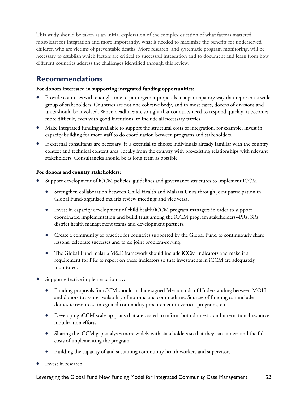This study should be taken as an initial exploration of the complex question of what factors mattered most/least for integration and more importantly, what is needed to maximize the benefits for underserved children who are victims of preventable deaths. More research, and systematic program monitoring, will be necessary to establish which factors are critical to successful integration and to document and learn from how different countries address the challenges identified through this review.

### <span id="page-28-0"></span>**Recommendations**

#### **For donors interested in supporting integrated funding opportunities:**

- Provide countries with enough time to put together proposals in a participatory way that represent a wide group of stakeholders. Countries are not one cohesive body, and in most cases, dozens of divisions and units should be involved. When deadlines are so tight that countries need to respond quickly, it becomes more difficult, even with good intentions, to include all necessary parties.
- Make integrated funding available to support the structural costs of integration, for example, invest in capacity building for more staff to do coordination between programs and stakeholders.
- If external consultants are necessary, it is essential to choose individuals already familiar with the country context and technical content area, ideally from the country with pre-existing relationships with relevant stakeholders. Consultancies should be as long term as possible.

#### **For donors and country stakeholders:**

- Support development of iCCM policies, guidelines and governance structures to implement iCCM.
	- Strengthen collaboration between Child Health and Malaria Units through joint participation in Global Fund-organized malaria review meetings and vice versa.
	- Invest in capacity development of child health/iCCM program managers in order to support coordinated implementation and build trust among the iCCM program stakeholders--PRs, SRs, district health management teams and development partners.
	- Create a community of practice for countries supported by the Global Fund to continuously share lessons, celebrate successes and to do joint problem-solving.
	- The Global Fund malaria M&E framework should include iCCM indicators and make it a requirement for PRs to report on these indicators so that investments in iCCM are adequately monitored.
- Support effective implementation by:
	- Funding proposals for iCCM should include signed Memoranda of Understanding between MOH and donors to assure availability of non-malaria commodities. Sources of funding can include domestic resources, integrated commodity procurement in vertical programs, etc.
	- Developing iCCM scale up-plans that are costed to inform both domestic and international resource mobilization efforts.
	- Sharing the iCCM gap analyses more widely with stakeholders so that they can understand the full costs of implementing the program.
	- Building the capacity of and sustaining community health workers and supervisors
- Invest in research.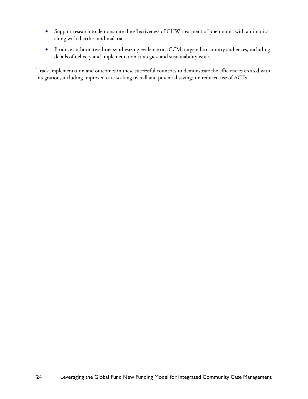- Support research to demonstrate the effectiveness of CHW treatment of pneumonia with antibiotics along with diarrhea and malaria.
- Produce authoritative brief synthesizing evidence on iCCM, targeted to country audiences, including details of delivery and implementation strategies, and sustainability issues.

Track implementation and outcomes in these successful countries to demonstrate the efficiencies created with integration, including improved care-seeking overall and potential savings on reduced use of ACTs.